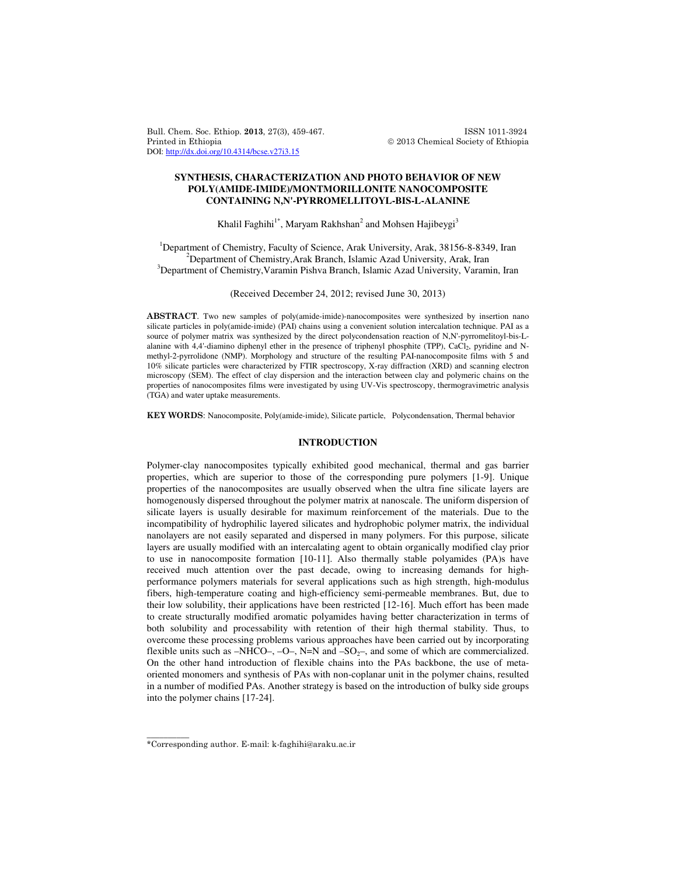Bull. Chem. Soc. Ethiop. 2013, 27(3), 459-467. ISSN 1011-3924 Printed in Ethiopia 2013 Chemical Society of Ethiopia DOI: http://dx.doi.org/10.4314/bcse.v27i3.15

# **SYNTHESIS, CHARACTERIZATION AND PHOTO BEHAVIOR OF NEW POLY(AMIDE-IMIDE)/MONTMORILLONITE NANOCOMPOSITE CONTAINING N,N'-PYRROMELLITOYL-BIS-L-ALANINE**

Khalil Faghihi $1^*$ , Maryam Rakhshan $^2$  and Mohsen Hajibeygi $^3$ 

<sup>1</sup>Department of Chemistry, Faculty of Science, Arak University, Arak, 38156-8-8349, Iran <sup>2</sup>Department of Chemistry, Arak Branch, Islamic Azad University, Arak, Iran <sup>3</sup>Department of Chemistry, Varamin Pishva Branch, Islamic Azad University, Varamin, Iran

(Received December 24, 2012; revised June 30, 2013)

ABSTRACT. Two new samples of poly(amide-imide)-nanocomposites were synthesized by insertion nano silicate particles in poly(amide-imide) (PAI) chains using a convenient solution intercalation technique. PAI as a source of polymer matrix was synthesized by the direct polycondensation reaction of N,N'-pyrromelitoyl-bis-Lalanine with 4,4'-diamino diphenyl ether in the presence of triphenyl phosphite (TPP), CaCl<sub>2</sub>, pyridine and Nmethyl-2-pyrrolidone (NMP). Morphology and structure of the resulting PAI-nanocomposite films with 5 and 10% silicate particles were characterized by FTIR spectroscopy, X-ray diffraction (XRD) and scanning electron microscopy (SEM). The effect of clay dispersion and the interaction between clay and polymeric chains on the properties of nanocomposites films were investigated by using UV-Vis spectroscopy, thermogravimetric analysis (TGA) and water uptake measurements.

KEY WORDS: Nanocomposite, Poly(amide-imide), Silicate particle, Polycondensation, Thermal behavior

# **INTRODUCTION**

Polymer-clay nanocomposites typically exhibited good mechanical, thermal and gas barrier properties, which are superior to those of the corresponding pure polymers [1-9]. Unique properties of the nanocomposites are usually observed when the ultra fine silicate layers are homogenously dispersed throughout the polymer matrix at nanoscale. The uniform dispersion of silicate layers is usually desirable for maximum reinforcement of the materials. Due to the incompatibility of hydrophilic layered silicates and hydrophobic polymer matrix, the individual nanolayers are not easily separated and dispersed in many polymers. For this purpose, silicate layers are usually modified with an intercalating agent to obtain organically modified clay prior to use in nanocomposite formation [10-11]. Also thermally stable polyamides (PA)s have received much attention over the past decade, owing to increasing demands for highperformance polymers materials for several applications such as high strength, high-modulus fibers, high-temperature coating and high-efficiency semi-permeable membranes. But, due to their low solubility, their applications have been restricted [12-16]. Much effort has been made to create structurally modified aromatic polyamides having better characterization in terms of both solubility and processability with retention of their high thermal stability. Thus, to overcome these processing problems various approaches have been carried out by incorporating flexible units such as  $-NHCO-$ ,  $-O-$ ,  $N=N$  and  $-SO<sub>2</sub>-$ , and some of which are commercialized. On the other hand introduction of flexible chains into the PAs backbone, the use of metaoriented monomers and synthesis of PAs with non-coplanar unit in the polymer chains, resulted in a number of modified PAs. Another strategy is based on the introduction of bulky side groups into the polymer chains [17-24].

\_\_\_\_\_\_\_\_\_\_

<sup>\*</sup>Corresponding author. E-mail: k-faghihi@araku.ac.ir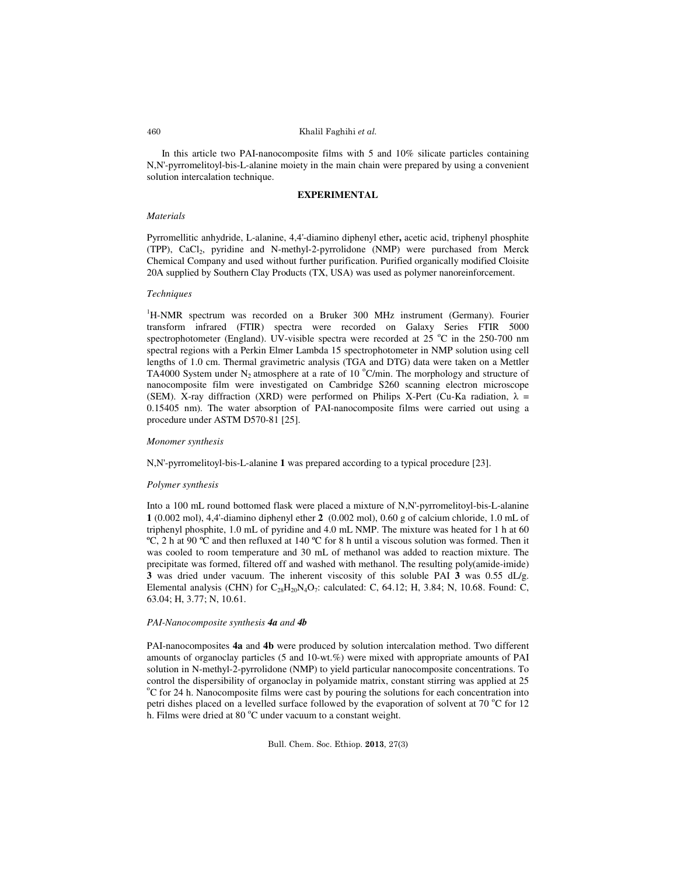### Khalil Faghihi et al.

In this article two PAI-nanocomposite films with 5 and 10% silicate particles containing N,N'-pyrromelitoyl-bis-L-alanine moiety in the main chain were prepared by using a convenient solution intercalation technique.

### **EXPERIMENTAL**

### *Materials*

Pyrromellitic anhydride, L-alanine, 4,4'-diamino diphenyl ether**,** acetic acid, triphenyl phosphite (TPP), CaCl<sup>2</sup> , pyridine and N-methyl-2-pyrrolidone (NMP) were purchased from Merck Chemical Company and used without further purification. Purified organically modified Cloisite 20A supplied by Southern Clay Products (TX, USA) was used as polymer nanoreinforcement.

#### *Techniques*

<sup>1</sup>H-NMR spectrum was recorded on a Bruker 300 MHz instrument (Germany). Fourier transform infrared (FTIR) spectra were recorded on Galaxy Series FTIR 5000 spectrophotometer (England). UV-visible spectra were recorded at  $25\degree$ C in the 250-700 nm spectral regions with a Perkin Elmer Lambda 15 spectrophotometer in NMP solution using cell lengths of 1.0 cm. Thermal gravimetric analysis (TGA and DTG) data were taken on a Mettler TA4000 System under N<sub>2</sub> atmosphere at a rate of 10  $^{\circ}$ C/min. The morphology and structure of nanocomposite film were investigated on Cambridge S260 scanning electron microscope (SEM). X-ray diffraction (XRD) were performed on Philips X-Pert (Cu-Ka radiation,  $\lambda$  = 0.15405 nm). The water absorption of PAI-nanocomposite films were carried out using a procedure under ASTM D570-81 [25].

#### *Monomer synthesis*

N,N'-pyrromelitoyl-bis-L-alanine **1** was prepared according to a typical procedure [23].

## *Polymer synthesis*

Into a 100 mL round bottomed flask were placed a mixture of N,N'-pyrromelitoyl-bis-L-alanine **1** (0.002 mol), 4,4'-diamino diphenyl ether **2** (0.002 mol), 0.60 g of calcium chloride, 1.0 mL of triphenyl phosphite, 1.0 mL of pyridine and 4.0 mL NMP. The mixture was heated for 1 h at 60 ºC, 2 h at 90 ºC and then refluxed at 140 ºC for 8 h until a viscous solution was formed. Then it was cooled to room temperature and 30 mL of methanol was added to reaction mixture. The precipitate was formed, filtered off and washed with methanol. The resulting poly(amide-imide) **3** was dried under vacuum. The inherent viscosity of this soluble PAI **3** was 0.55 dL/g. Elemental analysis (CHN) for  $C_{28}H_{20}N_4O_7$ : calculated: C, 64.12; H, 3.84; N, 10.68. Found: C, 63.04; H, 3.77; N, 10.61.

#### *PAI-Nanocomposite synthesis 4a and 4b*

PAI-nanocomposites **4a** and **4b** were produced by solution intercalation method. Two different amounts of organoclay particles (5 and 10-wt.%) were mixed with appropriate amounts of PAI solution in N-methyl-2-pyrrolidone (NMP) to yield particular nanocomposite concentrations. To control the dispersibility of organoclay in polyamide matrix, constant stirring was applied at 25 <sup>o</sup>C for 24 h. Nanocomposite films were cast by pouring the solutions for each concentration into petri dishes placed on a levelled surface followed by the evaporation of solvent at 70  $^{\circ}$ C for 12 h. Films were dried at 80  $^{\circ}$ C under vacuum to a constant weight.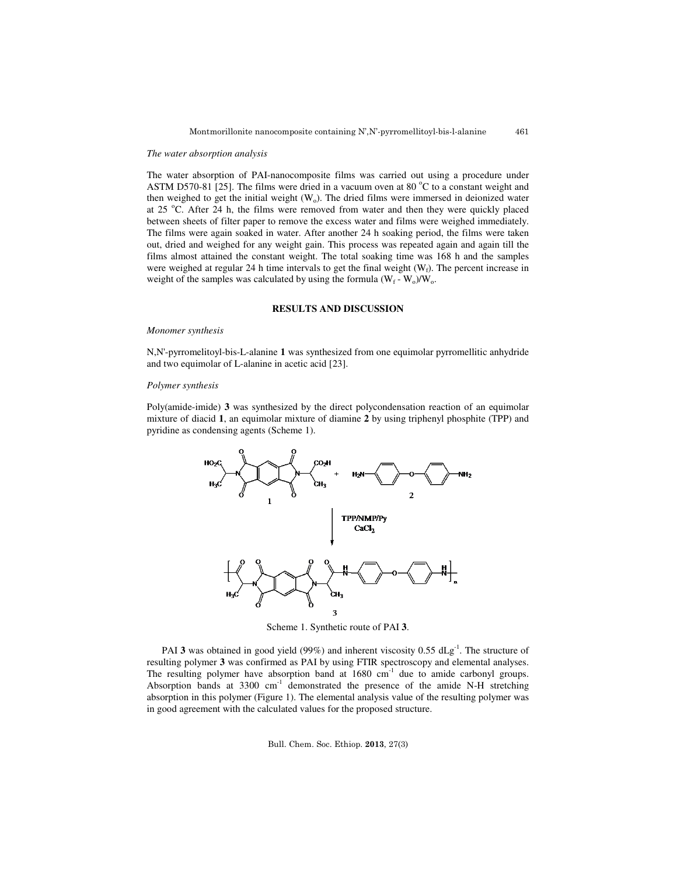#### *The water absorption analysis*

The water absorption of PAI-nanocomposite films was carried out using a procedure under ASTM D570-81 [25]. The films were dried in a vacuum oven at 80  $^{\circ}$ C to a constant weight and then weighed to get the initial weight  $(W_0)$ . The dried films were immersed in deionized water at 25  $^{\circ}$ C. After 24 h, the films were removed from water and then they were quickly placed between sheets of filter paper to remove the excess water and films were weighed immediately. The films were again soaked in water. After another 24 h soaking period, the films were taken out, dried and weighed for any weight gain. This process was repeated again and again till the films almost attained the constant weight. The total soaking time was 168 h and the samples were weighed at regular 24 h time intervals to get the final weight  $(W_f)$ . The percent increase in weight of the samples was calculated by using the formula  $(W_f - W_o)/W_o$ .

# **RESULTS AND DISCUSSION**

#### *Monomer synthesis*

N,N'-pyrromelitoyl-bis-L-alanine **1** was synthesized from one equimolar pyrromellitic anhydride and two equimolar of L-alanine in acetic acid [23].

#### *Polymer synthesis*

Poly(amide-imide) **3** was synthesized by the direct polycondensation reaction of an equimolar mixture of diacid **1**, an equimolar mixture of diamine **2** by using triphenyl phosphite (TPP) and pyridine as condensing agents (Scheme 1).



Scheme 1. Synthetic route of PAI **3**.

PAI **3** was obtained in good yield (99%) and inherent viscosity 0.55 dLg<sup>-1</sup>. The structure of resulting polymer **3** was confirmed as PAI by using FTIR spectroscopy and elemental analyses. The resulting polymer have absorption band at  $1680 \text{ cm}^{-1}$  due to amide carbonyl groups. Absorption bands at 3300 cm<sup>-1</sup> demonstrated the presence of the amide N-H stretching absorption in this polymer (Figure 1). The elemental analysis value of the resulting polymer was in good agreement with the calculated values for the proposed structure.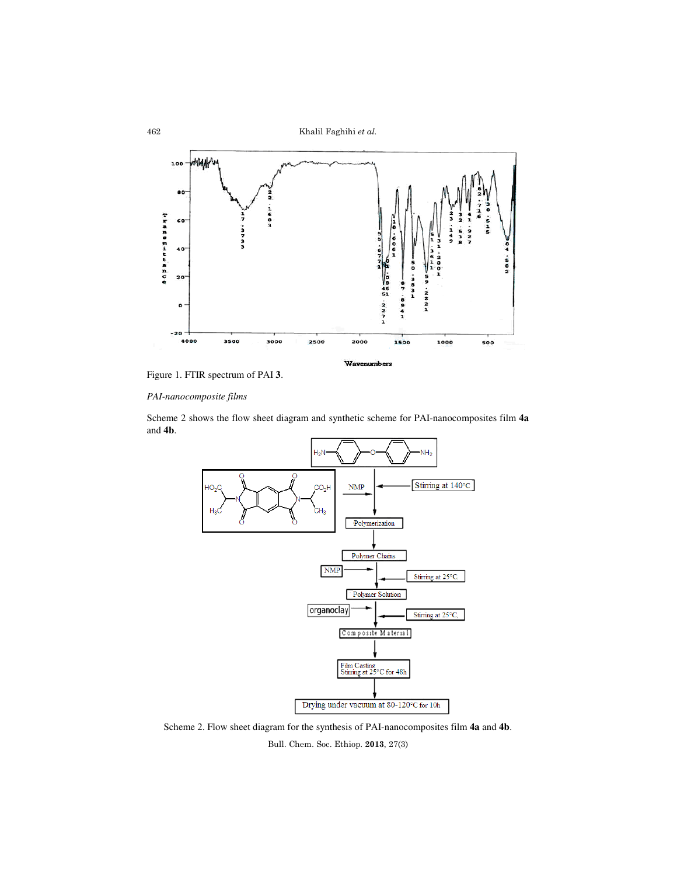Khalil Faghihi et al.





# *PAI-nanocomposite films*

Scheme 2 shows the flow sheet diagram and synthetic scheme for PAI-nanocomposites film **4a** and **4b**.



Scheme 2. Flow sheet diagram for the synthesis of PAI-nanocomposites film **4a** and **4b**.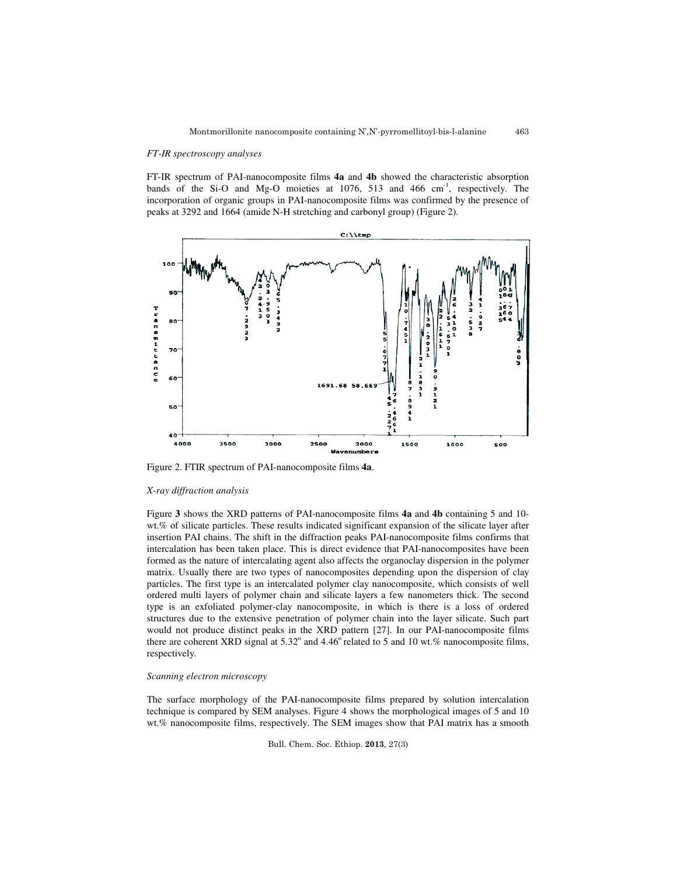### *FT-IR spectroscopy analyses*

FT-IR spectrum of PAI-nanocomposite films **4a** and **4b** showed the characteristic absorption bands of the Si-O and Mg-O moieties at  $1076$ , 513 and 466 cm<sup>-1</sup>, respectively. The incorporation of organic groups in PAI-nanocomposite films was confirmed by the presence of peaks at 3292 and 1664 (amide N-H stretching and carbonyl group) (Figure 2).



Figure 2. FTIR spectrum of PAI-nanocomposite films **4a**.

#### *X-ray diffraction analysis*

Figure **3** shows the XRD patterns of PAI-nanocomposite films **4a** and **4b** containing 5 and 10 wt.% of silicate particles. These results indicated significant expansion of the silicate layer after insertion PAI chains. The shift in the diffraction peaks PAI-nanocomposite films confirms that intercalation has been taken place. This is direct evidence that PAI-nanocomposites have been formed as the nature of intercalating agent also affects the organoclay dispersion in the polymer matrix. Usually there are two types of nanocomposites depending upon the dispersion of clay particles. The first type is an intercalated polymer clay nanocomposite, which consists of well ordered multi layers of polymer chain and silicate layers a few nanometers thick. The second type is an exfoliated polymer-clay nanocomposite, in which is there is a loss of ordered structures due to the extensive penetration of polymer chain into the layer silicate. Such part would not produce distinct peaks in the XRD pattern [27]. In our PAI-nanocomposite films there are coherent XRD signal at  $5.32^{\circ}$  and  $4.46^{\circ}$  related to 5 and 10 wt.% nanocomposite films, respectively.

## *Scanning electron microscopy*

The surface morphology of the PAI-nanocomposite films prepared by solution intercalation technique is compared by SEM analyses. Figure 4 shows the morphological images of 5 and 10 wt.% nanocomposite films, respectively. The SEM images show that PAI matrix has a smooth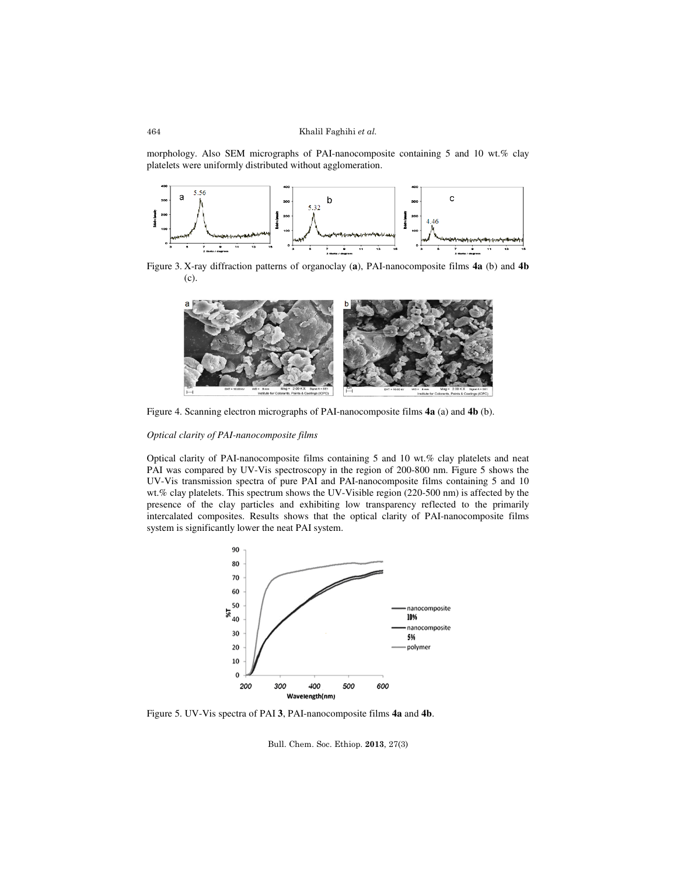morphology. Also SEM micrographs of PAI-nanocomposite containing 5 and 10 wt.% clay platelets were uniformly distributed without agglomeration.



Figure 3. X-ray diffraction patterns of organoclay (**a**), PAI-nanocomposite films **4a** (b) and **4b**  (c).



Figure 4. Scanning electron micrographs of PAI-nanocomposite films **4a** (a) and **4b** (b).

# *Optical clarity of PAI-nanocomposite films*

Optical clarity of PAI-nanocomposite films containing 5 and 10 wt.% clay platelets and neat PAI was compared by UV-Vis spectroscopy in the region of 200-800 nm. Figure 5 shows the UV-Vis transmission spectra of pure PAI and PAI-nanocomposite films containing 5 and 10 wt.% clay platelets. This spectrum shows the UV-Visible region (220-500 nm) is affected by the presence of the clay particles and exhibiting low transparency reflected to the primarily intercalated composites. Results shows that the optical clarity of PAI-nanocomposite films system is significantly lower the neat PAI system.



Figure 5. UV-Vis spectra of PAI **3**, PAI-nanocomposite films **4a** and **4b**.

Bull. Chem. Soc. Ethiop. 2013, 27(3)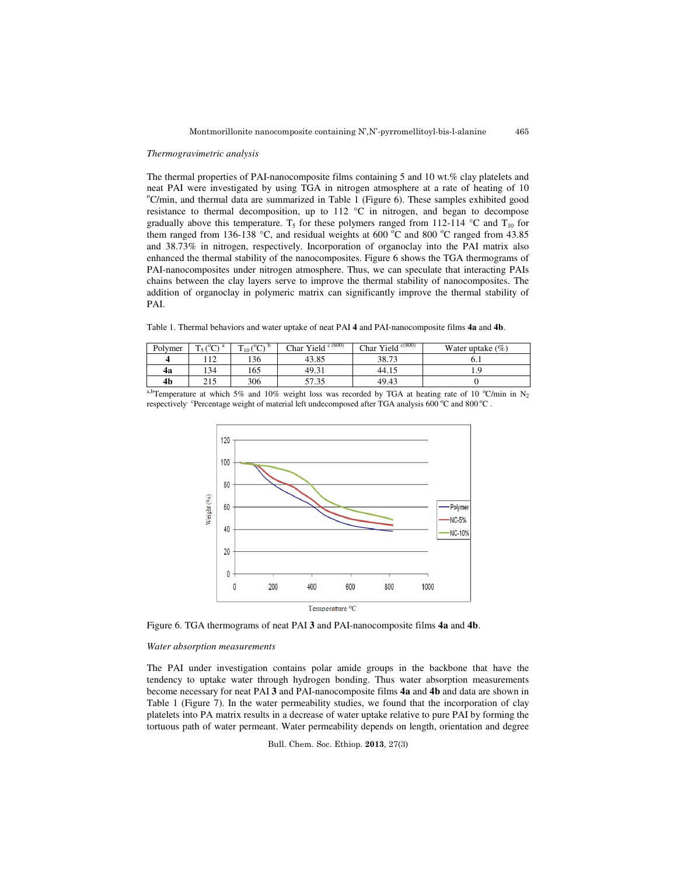#### *Thermogravimetric analysis*

The thermal properties of PAI-nanocomposite films containing 5 and 10 wt.% clay platelets and neat PAI were investigated by using TGA in nitrogen atmosphere at a rate of heating of 10  $^{\circ}$ C/min, and thermal data are summarized in Table 1 (Figure 6). These samples exhibited good resistance to thermal decomposition, up to 112 °C in nitrogen, and began to decompose gradually above this temperature. T<sub>5</sub> for these polymers ranged from 112-114  $\degree$ C and T<sub>10</sub> for them ranged from 136-138 °C, and residual weights at 600 °C and 800 °C ranged from 43.85 and 38.73% in nitrogen, respectively. Incorporation of organoclay into the PAI matrix also enhanced the thermal stability of the nanocomposites. Figure 6 shows the TGA thermograms of PAI-nanocomposites under nitrogen atmosphere. Thus, we can speculate that interacting PAIs chains between the clay layers serve to improve the thermal stability of nanocomposites. The addition of organoclay in polymeric matrix can significantly improve the thermal stability of PAI.

Table 1. Thermal behaviors and water uptake of neat PAI **4** and PAI-nanocomposite films **4a** and **4b**.

| Polymer | $(0)$ a<br><b>TILL</b> | $(0 \cap B)$<br>m<br>10 <sup>1</sup><br>◡ | Char Yield $c(600)$ | Char Yield $c(800)$ | Water uptake $(\%)$ |
|---------|------------------------|-------------------------------------------|---------------------|---------------------|---------------------|
|         | 12                     | 136                                       | 43.85               | 38.73               | 0.1                 |
| 4a      | 134                    | 165                                       | 49.31               | 44.15               |                     |
| 4b      | 215                    | 306                                       | 57.35               | 49.43               |                     |

a,bTemperature at which 5% and 10% weight loss was recorded by TGA at heating rate of 10 °C/min in N<sub>2</sub> respectively. <sup>c</sup>Percentage weight of material left undecomposed after TGA analysis 600  $^{\circ}$ C and 800  $^{\circ}$ C .



Figure 6. TGA thermograms of neat PAI **3** and PAI-nanocomposite films **4a** and **4b**.

#### *Water absorption measurements*

The PAI under investigation contains polar amide groups in the backbone that have the tendency to uptake water through hydrogen bonding. Thus water absorption measurements become necessary for neat PAI **3** and PAI-nanocomposite films **4a** and **4b** and data are shown in Table 1 (Figure 7). In the water permeability studies, we found that the incorporation of clay platelets into PA matrix results in a decrease of water uptake relative to pure PAI by forming the tortuous path of water permeant. Water permeability depends on length, orientation and degree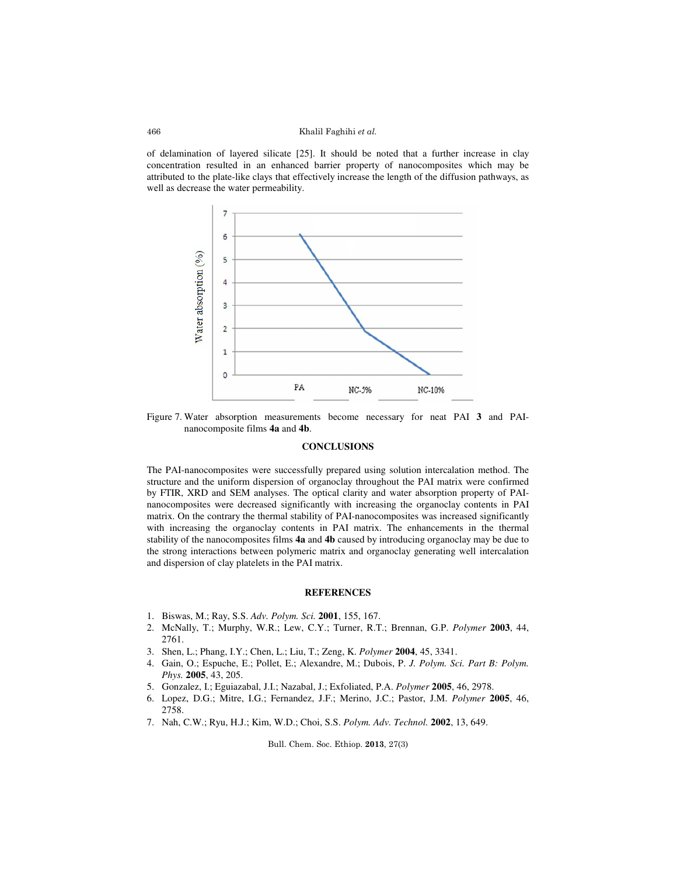#### Khalil Faghihi et al.

of delamination of layered silicate [25]. It should be noted that a further increase in clay concentration resulted in an enhanced barrier property of nanocomposites which may be attributed to the plate-like clays that effectively increase the length of the diffusion pathways, as well as decrease the water permeability.



Figure 7. Water absorption measurements become necessary for neat PAI **3** and PAInanocomposite films **4a** and **4b**.

### **CONCLUSIONS**

The PAI-nanocomposites were successfully prepared using solution intercalation method. The structure and the uniform dispersion of organoclay throughout the PAI matrix were confirmed by FTIR, XRD and SEM analyses. The optical clarity and water absorption property of PAInanocomposites were decreased significantly with increasing the organoclay contents in PAI matrix. On the contrary the thermal stability of PAI-nanocomposites was increased significantly with increasing the organoclay contents in PAI matrix. The enhancements in the thermal stability of the nanocomposites films **4a** and **4b** caused by introducing organoclay may be due to the strong interactions between polymeric matrix and organoclay generating well intercalation and dispersion of clay platelets in the PAI matrix.

#### **REFERENCES**

- 1. Biswas, M.; Ray, S.S. *Adv. Polym. Sci.* **2001**, 155, 167.
- 2. McNally, T.; Murphy, W.R.; Lew, C.Y.; Turner, R.T.; Brennan, G.P. *Polymer* **2003**, 44, 2761.
- 3. Shen, L.; Phang, I.Y.; Chen, L.; Liu, T.; Zeng, K. *Polymer* **2004**, 45, 3341.
- 4. Gain, O.; Espuche, E.; Pollet, E.; Alexandre, M.; Dubois, P. *J. Polym. Sci. Part B: Polym. Phys.* **2005**, 43, 205.
- 5. Gonzalez, I.; Eguiazabal, J.I.; Nazabal, J.; Exfoliated, P.A. *Polymer* **2005**, 46, 2978.
- 6. Lopez, D.G.; Mitre, I.G.; Fernandez, J.F.; Merino, J.C.; Pastor, J.M. *Polymer* **2005**, 46, 2758.
- 7. Nah, C.W.; Ryu, H.J.; Kim, W.D.; Choi, S.S. *Polym. Adv. Technol.* **2002**, 13, 649.